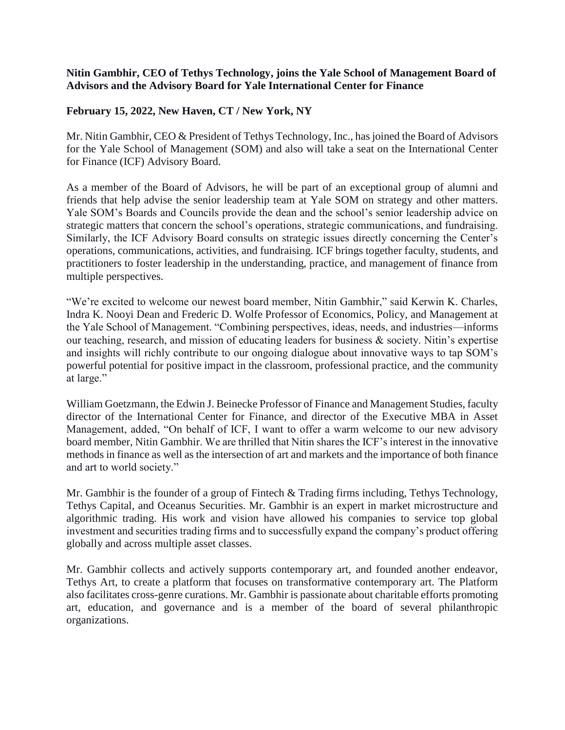## **Nitin Gambhir, CEO of Tethys Technology, joins the Yale School of Management Board of Advisors and the Advisory Board for Yale International Center for Finance**

## **February 15, 2022, New Haven, CT / New York, NY**

Mr. Nitin Gambhir, CEO & President of Tethys Technology, Inc., has joined the Board of Advisors for the Yale School of Management (SOM) and also will take a seat on the International Center for Finance (ICF) Advisory Board.

As a member of the Board of Advisors, he will be part of an exceptional group of alumni and friends that help advise the senior leadership team at Yale SOM on strategy and other matters. Yale SOM's Boards and Councils provide the dean and the school's senior leadership advice on strategic matters that concern the school's operations, strategic communications, and fundraising. Similarly, the ICF Advisory Board consults on strategic issues directly concerning the Center's operations, communications, activities, and fundraising. ICF brings together faculty, students, and practitioners to foster leadership in the understanding, practice, and management of finance from multiple perspectives.

"We're excited to welcome our newest board member, Nitin Gambhir," said Kerwin K. Charles, Indra K. Nooyi Dean and Frederic D. Wolfe Professor of Economics, Policy, and Management at the Yale School of Management. "Combining perspectives, ideas, needs, and industries—informs our teaching, research, and mission of educating leaders for business & society. Nitin's expertise and insights will richly contribute to our ongoing dialogue about innovative ways to tap SOM's powerful potential for positive impact in the classroom, professional practice, and the community at large."

William Goetzmann, the Edwin J. Beinecke Professor of Finance and Management Studies, faculty director of the International Center for Finance, and director of the Executive MBA in Asset Management, added, "On behalf of ICF, I want to offer a warm welcome to our new advisory board member, Nitin Gambhir. We are thrilled that Nitin shares the ICF's interest in the innovative methods in finance as well as the intersection of art and markets and the importance of both finance and art to world society."

Mr. Gambhir is the founder of a group of Fintech & Trading firms including, Tethys Technology, Tethys Capital, and Oceanus Securities. Mr. Gambhir is an expert in market microstructure and algorithmic trading. His work and vision have allowed his companies to service top global investment and securities trading firms and to successfully expand the company's product offering globally and across multiple asset classes.

Mr. Gambhir collects and actively supports contemporary art, and founded another endeavor, Tethys Art, to create a platform that focuses on transformative contemporary art. The Platform also facilitates cross-genre curations. Mr. Gambhir is passionate about charitable efforts promoting art, education, and governance and is a member of the board of several philanthropic organizations.